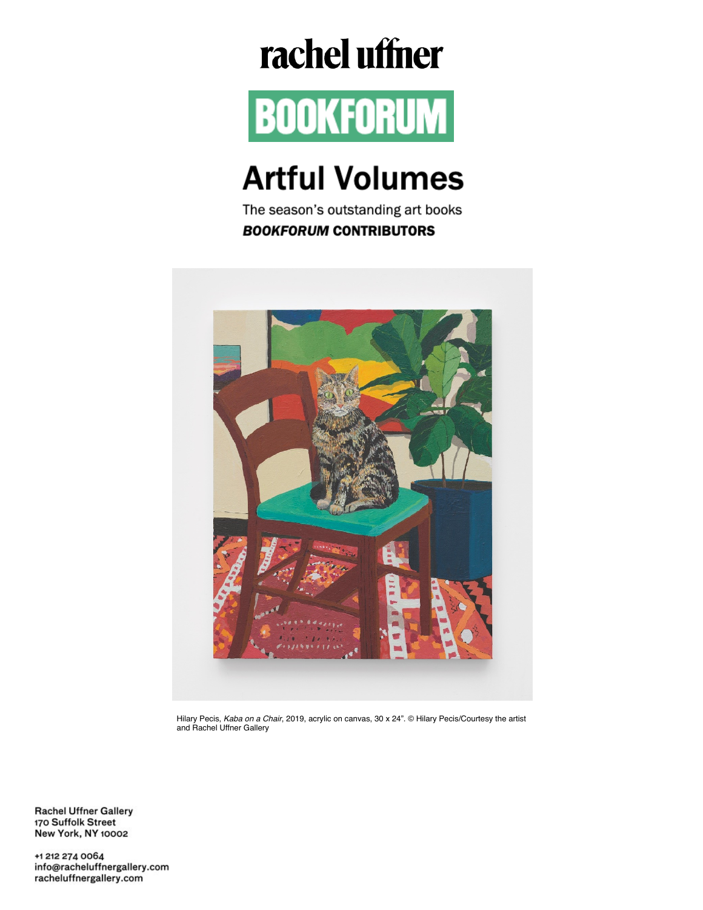## rachel uffner



## **Artful Volumes**

The season's outstanding art books **BOOKFORUM CONTRIBUTORS** 



Hilary Pecis, Kaba on a Chair, 2019, acrylic on canvas, 30 x 24". © Hilary Pecis/Courtesy the artist and Rachel Uffner Gallery

**Rachel Uffner Gallery** 170 Suffolk Street New York, NY 10002

+1 212 274 0064 info@racheluffnergallery.com racheluffnergallery.com